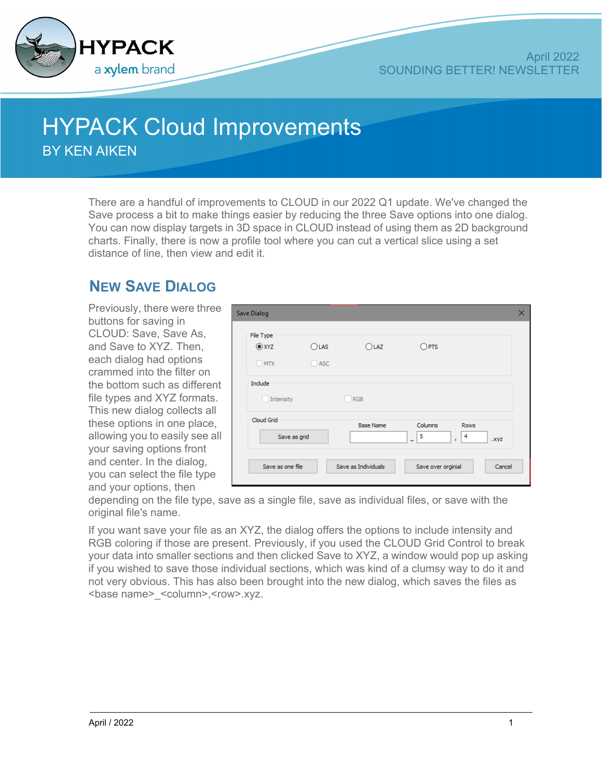

## **HYPACK Cloud Improvements**

BY KEN AIKEN

There are a handful of improvements to CLOUD in our 2022 Q1 update. We've changed the Save process a bit to make things easier by reducing the three Save options into one dialog. You can now display targets in 3D space in CLOUD instead of using them as 2D background charts. Finally, there is now a profile tool where you can cut a vertical slice using a set distance of line, then view and edit it.

## **NEW SAVE DIALOG**

Previously, there were three buttons for saving in CLOUD: Save, Save As, and Save to XYZ. Then, each dialog had options crammed into the filter on the bottom such as different file types and XYZ formats. This new dialog collects all these options in one place, allowing you to easily see all your saving options front and center. In the dialog, you can select the file type and your options, then

| <b>Save Dialog</b>                |                                    |                     |                    |                                          | $\times$ |
|-----------------------------------|------------------------------------|---------------------|--------------------|------------------------------------------|----------|
| File Type<br><b>O</b> xyz<br>OMTX | O <sub>LAS</sub><br>$\bigcirc$ ASC | OLAZ                | $O$ PTS            |                                          |          |
| Include<br>Intensity              |                                    | <b>RGB</b>          |                    |                                          |          |
| Cloud Grid<br>Save as grid        |                                    | <b>Base Name</b>    | Columns<br>5<br>۰  | <b>Rows</b><br>4<br>.xyz<br>$\mathbf{r}$ |          |
| Save as one file                  |                                    | Save as Individuals | Save over orginial | Cancel                                   |          |

depending on the file type, save as a single file, save as individual files, or save with the original file's name.

If you want save your file as an XYZ, the dialog offers the options to include intensity and RGB coloring if those are present. Previously, if you used the CLOUD Grid Control to break your data into smaller sections and then clicked Save to XYZ, a window would pop up asking if you wished to save those individual sections, which was kind of a clumsy way to do it and not very obvious. This has also been brought into the new dialog, which saves the files as <base name>\_<column>,<row>.xyz.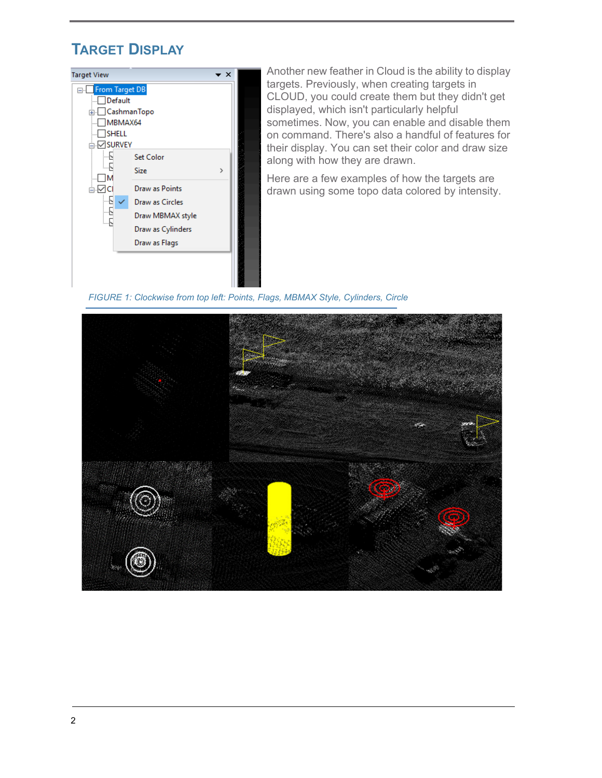## **TARGET DISPLAY**



Another new feather in Cloud is the ability to display targets. Previously, when creating targets in CLOUD, you could create them but they didn't get displayed, which isn't particularly helpful sometimes. Now, you can enable and disable them on command. There's also a handful of features for their display. You can set their color and draw size along with how they are drawn.

Here are a few examples of how the targets are drawn using some topo data colored by intensity.

*FIGURE 1: Clockwise from top left: Points, Flags, MBMAX Style, Cylinders, Circle*